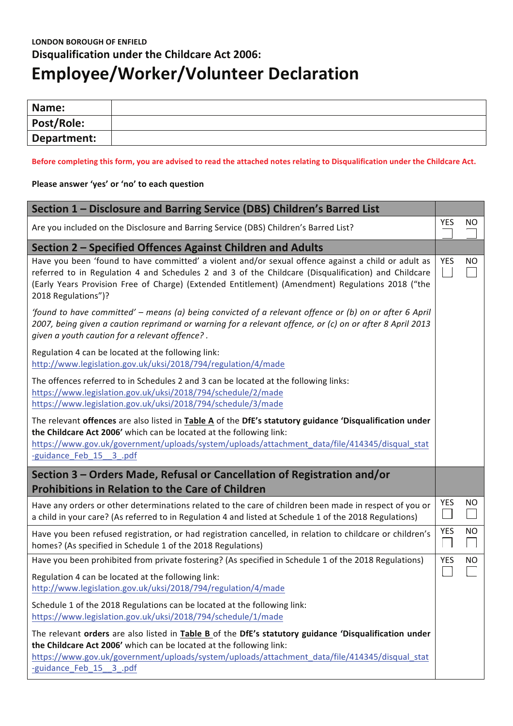# **LONDON BOROUGH OF ENFIELD Disqualification under the Childcare Act 2006: Employee/Worker/Volunteer Declaration**

| Name:       |  |
|-------------|--|
| Post/Role:  |  |
| Department: |  |

#### Before completing this form, you are advised to read the attached notes relating to Disqualification under the Childcare Act.

## Please answer 'yes' or 'no' to each question

| Section 1 - Disclosure and Barring Service (DBS) Children's Barred List                                                                                                                                                                                                                                                               |            |                |  |
|---------------------------------------------------------------------------------------------------------------------------------------------------------------------------------------------------------------------------------------------------------------------------------------------------------------------------------------|------------|----------------|--|
| Are you included on the Disclosure and Barring Service (DBS) Children's Barred List?                                                                                                                                                                                                                                                  |            |                |  |
| Section 2 - Specified Offences Against Children and Adults                                                                                                                                                                                                                                                                            |            |                |  |
| Have you been 'found to have committed' a violent and/or sexual offence against a child or adult as<br>referred to in Regulation 4 and Schedules 2 and 3 of the Childcare (Disqualification) and Childcare<br>(Early Years Provision Free of Charge) (Extended Entitlement) (Amendment) Regulations 2018 ("the<br>2018 Regulations")? | <b>YES</b> | <b>NO</b>      |  |
| 'found to have committed' – means (a) being convicted of a relevant offence or (b) on or after 6 April<br>2007, being given a caution reprimand or warning for a relevant offence, or (c) on or after 8 April 2013<br>given a youth caution for a relevant offence?.                                                                  |            |                |  |
| Regulation 4 can be located at the following link:<br>http://www.legislation.gov.uk/uksi/2018/794/regulation/4/made                                                                                                                                                                                                                   |            |                |  |
| The offences referred to in Schedules 2 and 3 can be located at the following links:<br>https://www.legislation.gov.uk/uksi/2018/794/schedule/2/made<br>https://www.legislation.gov.uk/uksi/2018/794/schedule/3/made                                                                                                                  |            |                |  |
| The relevant offences are also listed in Table A of the DfE's statutory guidance 'Disqualification under<br>the Childcare Act 2006' which can be located at the following link:<br>https://www.gov.uk/government/uploads/system/uploads/attachment_data/file/414345/disqual_stat<br>-guidance Feb 15 3 .pdf                           |            |                |  |
| Section 3 – Orders Made, Refusal or Cancellation of Registration and/or<br><b>Prohibitions in Relation to the Care of Children</b>                                                                                                                                                                                                    |            |                |  |
| Have any orders or other determinations related to the care of children been made in respect of you or<br>a child in your care? (As referred to in Regulation 4 and listed at Schedule 1 of the 2018 Regulations)                                                                                                                     | YES        | <b>NO</b><br>L |  |
| Have you been refused registration, or had registration cancelled, in relation to childcare or children's<br>homes? (As specified in Schedule 1 of the 2018 Regulations)                                                                                                                                                              | YES        | NO.            |  |
| Have you been prohibited from private fostering? (As specified in Schedule 1 of the 2018 Regulations)                                                                                                                                                                                                                                 |            | <b>NO</b>      |  |
| Regulation 4 can be located at the following link:<br>http://www.legislation.gov.uk/uksi/2018/794/regulation/4/made                                                                                                                                                                                                                   |            |                |  |
| Schedule 1 of the 2018 Regulations can be located at the following link:<br>https://www.legislation.gov.uk/uksi/2018/794/schedule/1/made                                                                                                                                                                                              |            |                |  |
| The relevant orders are also listed in Table B of the DfE's statutory guidance 'Disqualification under<br>the Childcare Act 2006' which can be located at the following link:<br>https://www.gov.uk/government/uploads/system/uploads/attachment_data/file/414345/disqual_stat<br>-guidance Feb 15 3 .pdf                             |            |                |  |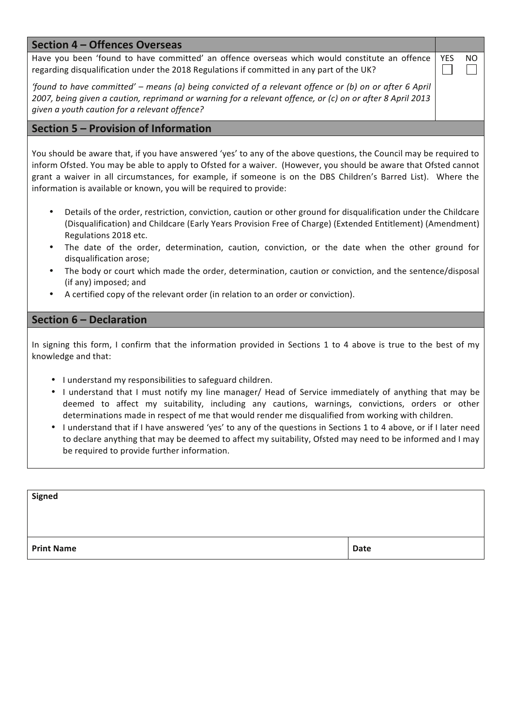# **Section 4 - Offences Overseas**

Have you been 'found to have committed' an offence overseas which would constitute an offence regarding disqualification under the 2018 Regulations if committed in any part of the UK?

'found to have committed' – means (a) being convicted of a relevant offence or (b) on or after 6 April 2007, being given a caution, reprimand or warning for a relevant offence, or (c) on or after 8 April 2013 given a youth caution for a relevant offence?

# Section 5 - Provision of Information

You should be aware that, if you have answered 'yes' to any of the above questions, the Council may be required to inform Ofsted. You may be able to apply to Ofsted for a waiver. (However, you should be aware that Ofsted cannot grant a waiver in all circumstances, for example, if someone is on the DBS Children's Barred List). Where the information is available or known, you will be required to provide:

- Details of the order, restriction, conviction, caution or other ground for disqualification under the Childcare (Disqualification) and Childcare (Early Years Provision Free of Charge) (Extended Entitlement) (Amendment) Regulations 2018 etc.
- The date of the order, determination, caution, conviction, or the date when the other ground for disqualification arose;
- The body or court which made the order, determination, caution or conviction, and the sentence/disposal (if any) imposed; and
- A certified copy of the relevant order (in relation to an order or conviction).

# **Section 6 - Declaration**

In signing this form, I confirm that the information provided in Sections 1 to 4 above is true to the best of my knowledge and that:

- I understand my responsibilities to safeguard children.
- I understand that I must notify my line manager/ Head of Service immediately of anything that may be deemed to affect my suitability, including any cautions, warnings, convictions, orders or other determinations made in respect of me that would render me disqualified from working with children.
- I understand that if I have answered 'yes' to any of the questions in Sections 1 to 4 above, or if I later need to declare anything that may be deemed to affect my suitability, Ofsted may need to be informed and I may be required to provide further information.

| Signed            |             |
|-------------------|-------------|
|                   |             |
| <b>Print Name</b> | <b>Date</b> |

**YES NO** I.